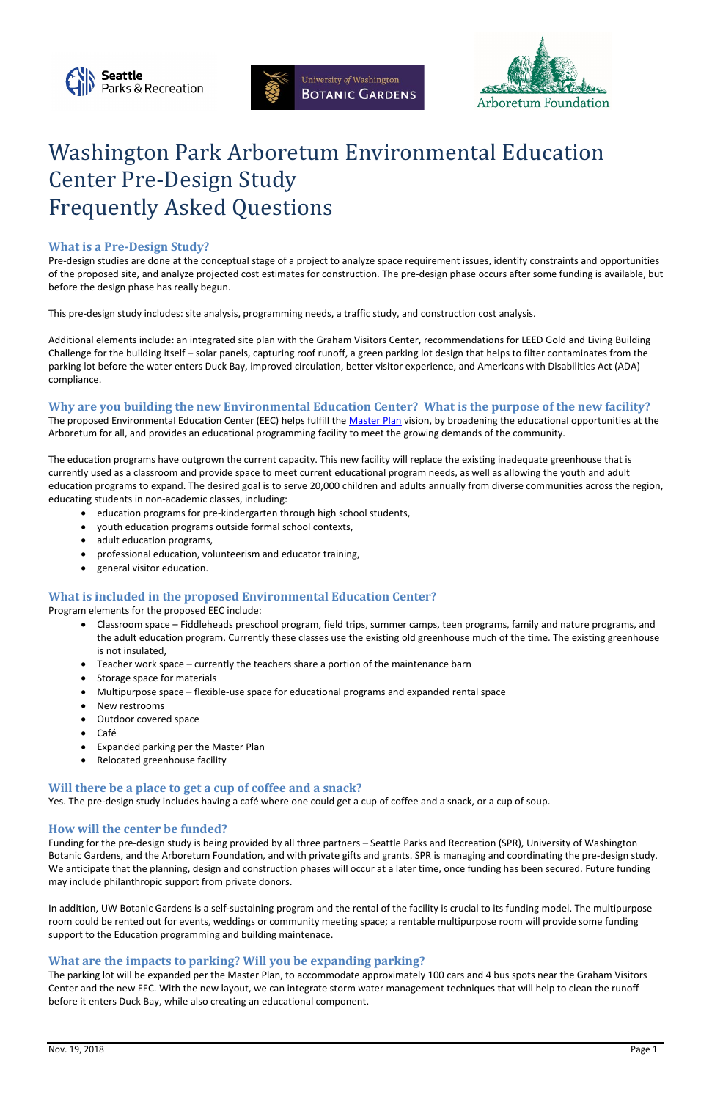





# Washington Park Arboretum Environmental Education Center Pre-Design Study Frequently Asked Questions

# **What is a Pre-Design Study?**

Pre-design studies are done at the conceptual stage of a project to analyze space requirement issues, identify constraints and opportunities of the proposed site, and analyze projected cost estimates for construction. The pre-design phase occurs after some funding is available, but before the design phase has really begun.

This pre-design study includes: site analysis, programming needs, a traffic study, and construction cost analysis.

The proposed Environmental Education Center (EEC) helps fulfill the [Master Plan](http://depts.washington.edu/uwbg/docs/WPA_MasterPlan2001.pdf.) vision, by broadening the educational opportunities at the Arboretum for all, and provides an educational programming facility to meet the growing demands of the community.

Additional elements include: an integrated site plan with the Graham Visitors Center, recommendations for LEED Gold and Living Building Challenge for the building itself – solar panels, capturing roof runoff, a green parking lot design that helps to filter contaminates from the parking lot before the water enters Duck Bay, improved circulation, better visitor experience, and Americans with Disabilities Act (ADA) compliance.

# **Why are you building the new Environmental Education Center? What is the purpose of the new facility?**

The education programs have outgrown the current capacity. This new facility will replace the existing inadequate greenhouse that is currently used as a classroom and provide space to meet current educational program needs, as well as allowing the youth and adult education programs to expand. The desired goal is to serve 20,000 children and adults annually from diverse communities across the region, educating students in non-academic classes, including:

- education programs for pre-kindergarten through high school students,
- youth education programs outside formal school contexts,
- adult education programs,
- professional education, volunteerism and educator training,
- general visitor education.

# **What is included in the proposed Environmental Education Center?**

Program elements for the proposed EEC include:

- Classroom space Fiddleheads preschool program, field trips, summer camps, teen programs, family and nature programs, and the adult education program. Currently these classes use the existing old greenhouse much of the time. The existing greenhouse is not insulated,
- Teacher work space currently the teachers share a portion of the maintenance barn
- Storage space for materials
- Multipurpose space flexible-use space for educational programs and expanded rental space
- New restrooms
- Outdoor covered space
- Café
- Expanded parking per the Master Plan
- Relocated greenhouse facility

## **Will there be a place to get a cup of coffee and a snack?**

Yes. The pre-design study includes having a café where one could get a cup of coffee and a snack, or a cup of soup.

## **How will the center be funded?**

Funding for the pre-design study is being provided by all three partners – Seattle Parks and Recreation (SPR), University of Washington Botanic Gardens, and the Arboretum Foundation, and with private gifts and grants. SPR is managing and coordinating the pre-design study. We anticipate that the planning, design and construction phases will occur at a later time, once funding has been secured. Future funding may include philanthropic support from private donors.

In addition, UW Botanic Gardens is a self-sustaining program and the rental of the facility is crucial to its funding model. The multipurpose room could be rented out for events, weddings or community meeting space; a rentable multipurpose room will provide some funding support to the Education programming and building maintenace.

# **What are the impacts to parking? Will you be expanding parking?**

The parking lot will be expanded per the Master Plan, to accommodate approximately 100 cars and 4 bus spots near the Graham Visitors Center and the new EEC. With the new layout, we can integrate storm water management techniques that will help to clean the runoff before it enters Duck Bay, while also creating an educational component.